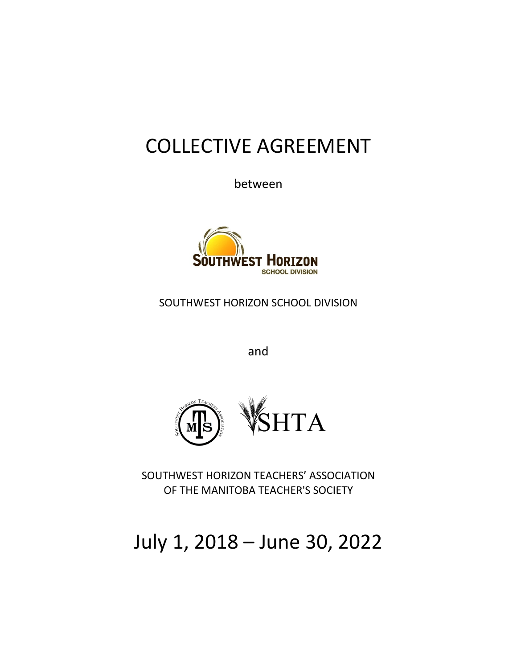# COLLECTIVE AGREEMENT

between



SOUTHWEST HORIZON SCHOOL DIVISION

and



SOUTHWEST HORIZON TEACHERS' ASSOCIATION OF THE MANITOBA TEACHER'S SOCIETY

# July 1, 2018 – June 30, 2022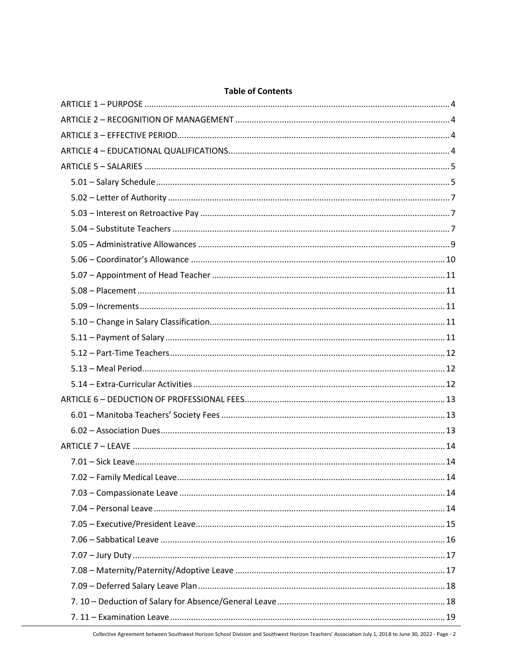# **Table of Contents**

Collective Agreement between Southwest Horizon School Division and Southwest Horizon Teachers' Association July 1, 2018 to June 30, 2022 - Page - 2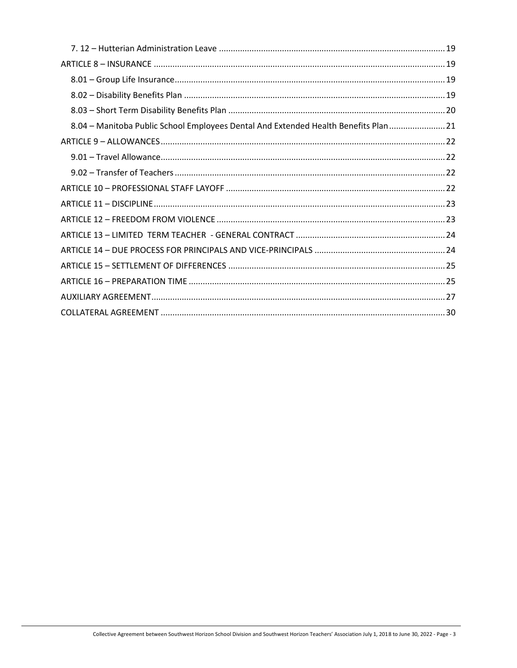| 8.04 – Manitoba Public School Employees Dental And Extended Health Benefits Plan  21 |  |
|--------------------------------------------------------------------------------------|--|
|                                                                                      |  |
|                                                                                      |  |
|                                                                                      |  |
|                                                                                      |  |
|                                                                                      |  |
|                                                                                      |  |
|                                                                                      |  |
|                                                                                      |  |
|                                                                                      |  |
|                                                                                      |  |
|                                                                                      |  |
|                                                                                      |  |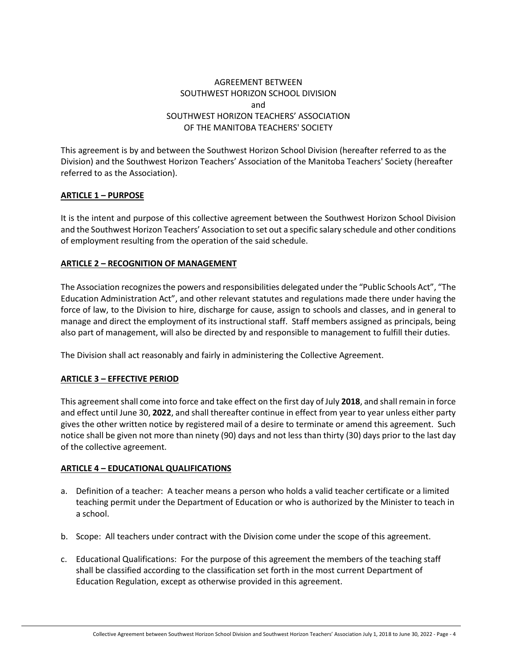# AGREEMENT BETWEEN SOUTHWEST HORIZON SCHOOL DIVISION and SOUTHWEST HORIZON TEACHERS' ASSOCIATION OF THE MANITOBA TEACHERS' SOCIETY

This agreement is by and between the Southwest Horizon School Division (hereafter referred to as the Division) and the Southwest Horizon Teachers' Association of the Manitoba Teachers' Society (hereafter referred to as the Association).

# <span id="page-3-0"></span>**ARTICLE 1 – PURPOSE**

It is the intent and purpose of this collective agreement between the Southwest Horizon School Division and the Southwest Horizon Teachers' Association to set out a specific salary schedule and other conditions of employment resulting from the operation of the said schedule.

#### <span id="page-3-1"></span>**ARTICLE 2 – RECOGNITION OF MANAGEMENT**

The Association recognizes the powers and responsibilities delegated under the "Public Schools Act", "The Education Administration Act", and other relevant statutes and regulations made there under having the force of law, to the Division to hire, discharge for cause, assign to schools and classes, and in general to manage and direct the employment of its instructional staff. Staff members assigned as principals, being also part of management, will also be directed by and responsible to management to fulfill their duties.

The Division shall act reasonably and fairly in administering the Collective Agreement.

# <span id="page-3-2"></span>**ARTICLE 3 – EFFECTIVE PERIOD**

This agreement shall come into force and take effect on the first day of July **2018**, and shall remain in force and effect until June 30, **2022**, and shall thereafter continue in effect from year to year unless either party gives the other written notice by registered mail of a desire to terminate or amend this agreement. Such notice shall be given not more than ninety (90) days and not less than thirty (30) days prior to the last day of the collective agreement.

#### <span id="page-3-3"></span>**ARTICLE 4 – EDUCATIONAL QUALIFICATIONS**

- a. Definition of a teacher: A teacher means a person who holds a valid teacher certificate or a limited teaching permit under the Department of Education or who is authorized by the Minister to teach in a school.
- b. Scope: All teachers under contract with the Division come under the scope of this agreement.
- c. Educational Qualifications: For the purpose of this agreement the members of the teaching staff shall be classified according to the classification set forth in the most current Department of Education Regulation, except as otherwise provided in this agreement.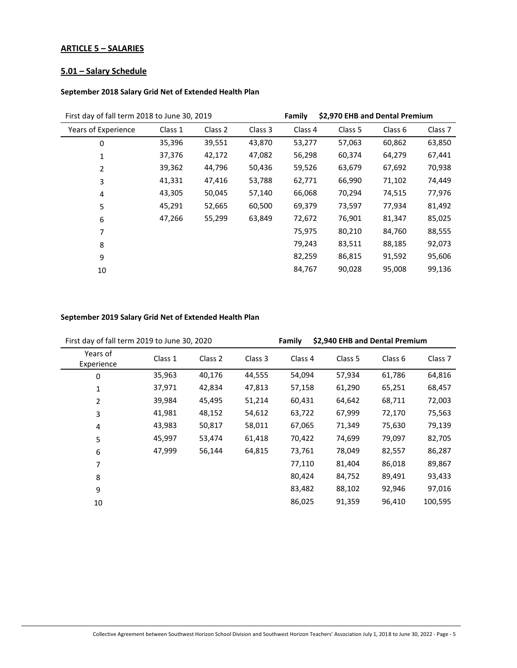# <span id="page-4-0"></span>**ARTICLE 5 – SALARIES**

# <span id="page-4-1"></span>**5.01 – Salary Schedule**

#### **September 2018 Salary Grid Net of Extended Health Plan**

| First day of fall term 2018 to June 30, 2019 |         |         | Family  | \$2,970 EHB and Dental Premium |         |         |                    |
|----------------------------------------------|---------|---------|---------|--------------------------------|---------|---------|--------------------|
| Years of Experience                          | Class 1 | Class 2 | Class 3 | Class 4                        | Class 5 | Class 6 | Class <sub>7</sub> |
| 0                                            | 35,396  | 39,551  | 43,870  | 53,277                         | 57,063  | 60,862  | 63,850             |
| 1                                            | 37,376  | 42,172  | 47,082  | 56,298                         | 60,374  | 64,279  | 67,441             |
| $\overline{2}$                               | 39,362  | 44,796  | 50,436  | 59,526                         | 63,679  | 67,692  | 70,938             |
| 3                                            | 41,331  | 47,416  | 53,788  | 62,771                         | 66,990  | 71,102  | 74,449             |
| 4                                            | 43,305  | 50,045  | 57,140  | 66,068                         | 70,294  | 74,515  | 77,976             |
| 5                                            | 45,291  | 52,665  | 60,500  | 69,379                         | 73,597  | 77,934  | 81,492             |
| 6                                            | 47,266  | 55,299  | 63,849  | 72,672                         | 76,901  | 81,347  | 85,025             |
| 7                                            |         |         |         | 75,975                         | 80,210  | 84,760  | 88,555             |
| 8                                            |         |         |         | 79,243                         | 83,511  | 88,185  | 92,073             |
| 9                                            |         |         |         | 82,259                         | 86,815  | 91,592  | 95,606             |
| 10                                           |         |         |         | 84,767                         | 90,028  | 95,008  | 99,136             |
|                                              |         |         |         |                                |         |         |                    |

# **September 2019 Salary Grid Net of Extended Health Plan**

| First day of fall term 2019 to June 30, 2020 |         |         | Family  | \$2,940 EHB and Dental Premium |                    |         |                    |
|----------------------------------------------|---------|---------|---------|--------------------------------|--------------------|---------|--------------------|
| Years of<br>Experience                       | Class 1 | Class 2 | Class 3 | Class 4                        | Class <sub>5</sub> | Class 6 | Class <sub>7</sub> |
| 0                                            | 35,963  | 40,176  | 44,555  | 54,094                         | 57,934             | 61,786  | 64,816             |
| 1                                            | 37,971  | 42,834  | 47,813  | 57,158                         | 61,290             | 65,251  | 68,457             |
| $\overline{2}$                               | 39,984  | 45,495  | 51,214  | 60,431                         | 64,642             | 68,711  | 72,003             |
| 3                                            | 41,981  | 48,152  | 54,612  | 63,722                         | 67,999             | 72,170  | 75,563             |
| 4                                            | 43,983  | 50,817  | 58,011  | 67,065                         | 71,349             | 75,630  | 79,139             |
| 5                                            | 45,997  | 53,474  | 61,418  | 70,422                         | 74,699             | 79,097  | 82,705             |
| 6                                            | 47,999  | 56,144  | 64,815  | 73,761                         | 78,049             | 82,557  | 86,287             |
| 7                                            |         |         |         | 77,110                         | 81,404             | 86,018  | 89,867             |
| 8                                            |         |         |         | 80,424                         | 84,752             | 89,491  | 93,433             |
| 9                                            |         |         |         | 83,482                         | 88,102             | 92,946  | 97,016             |
| 10                                           |         |         |         | 86,025                         | 91,359             | 96,410  | 100,595            |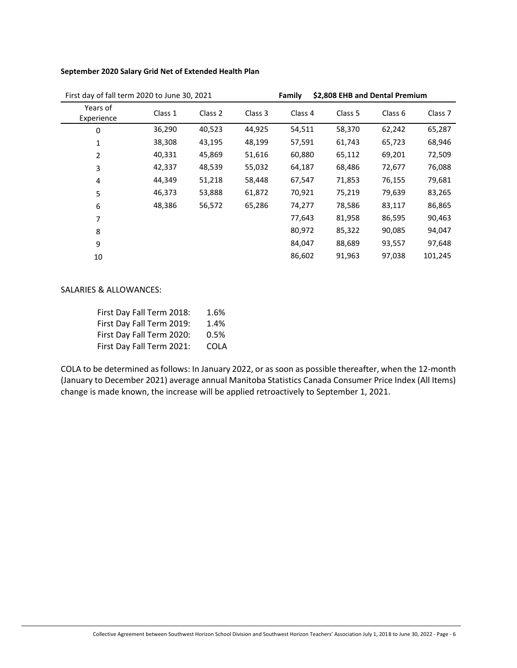#### **September 2020 Salary Grid Net of Extended Health Plan**

| First day of fall term 2020 to June 30, 2021 |         |         | Family  |         | \$2,808 EHB and Dental Premium |                    |                    |
|----------------------------------------------|---------|---------|---------|---------|--------------------------------|--------------------|--------------------|
| Years of<br>Experience                       | Class 1 | Class 2 | Class 3 | Class 4 | Class 5                        | Class <sub>6</sub> | Class <sub>7</sub> |
| 0                                            | 36,290  | 40,523  | 44,925  | 54,511  | 58,370                         | 62,242             | 65,287             |
| 1                                            | 38,308  | 43,195  | 48,199  | 57,591  | 61,743                         | 65,723             | 68,946             |
| 2                                            | 40,331  | 45,869  | 51,616  | 60,880  | 65,112                         | 69,201             | 72,509             |
| 3                                            | 42,337  | 48,539  | 55,032  | 64,187  | 68,486                         | 72,677             | 76,088             |
| 4                                            | 44,349  | 51,218  | 58,448  | 67,547  | 71,853                         | 76,155             | 79,681             |
| 5                                            | 46,373  | 53,888  | 61,872  | 70,921  | 75,219                         | 79,639             | 83,265             |
| 6                                            | 48,386  | 56,572  | 65,286  | 74,277  | 78,586                         | 83,117             | 86,865             |
| 7                                            |         |         |         | 77,643  | 81,958                         | 86,595             | 90,463             |
| 8                                            |         |         |         | 80,972  | 85,322                         | 90,085             | 94,047             |
| 9                                            |         |         |         | 84,047  | 88,689                         | 93,557             | 97,648             |
| 10                                           |         |         |         | 86,602  | 91,963                         | 97,038             | 101,245            |

#### SALARIES & ALLOWANCES:

| First Day Fall Term 2018: | 1.6% |
|---------------------------|------|
| First Day Fall Term 2019: | 1.4% |
| First Day Fall Term 2020: | 0.5% |
| First Day Fall Term 2021: | COLA |

COLA to be determined as follows: In January 2022, or as soon as possible thereafter, when the 12-month (January to December 2021) average annual Manitoba Statistics Canada Consumer Price Index (All Items) change is made known, the increase will be applied retroactively to September 1, 2021.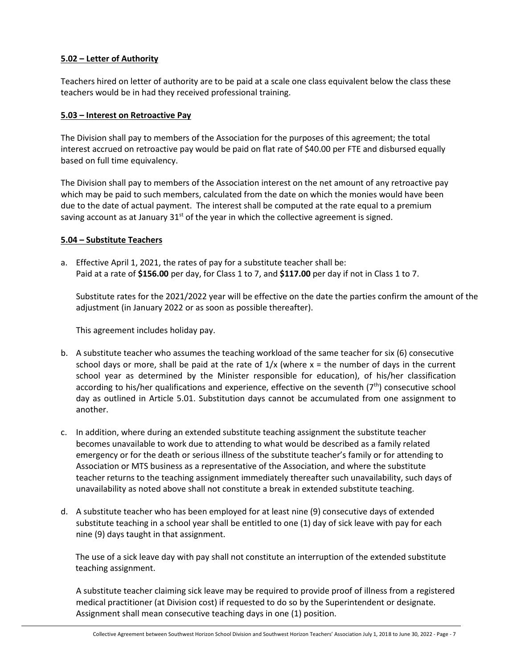# <span id="page-6-0"></span>**5.02 – Letter of Authority**

Teachers hired on letter of authority are to be paid at a scale one class equivalent below the class these teachers would be in had they received professional training.

# <span id="page-6-1"></span>**5.03 – Interest on Retroactive Pay**

The Division shall pay to members of the Association for the purposes of this agreement; the total interest accrued on retroactive pay would be paid on flat rate of \$40.00 per FTE and disbursed equally based on full time equivalency.

The Division shall pay to members of the Association interest on the net amount of any retroactive pay which may be paid to such members, calculated from the date on which the monies would have been due to the date of actual payment. The interest shall be computed at the rate equal to a premium saving account as at January  $31<sup>st</sup>$  of the year in which the collective agreement is signed.

#### <span id="page-6-2"></span>**5.04 – Substitute Teachers**

a. Effective April 1, 2021, the rates of pay for a substitute teacher shall be: Paid at a rate of **\$156.00** per day, for Class 1 to 7, and **\$117.00** per day if not in Class 1 to 7.

Substitute rates for the 2021/2022 year will be effective on the date the parties confirm the amount of the adjustment (in January 2022 or as soon as possible thereafter).

This agreement includes holiday pay.

- b. A substitute teacher who assumes the teaching workload of the same teacher for six (6) consecutive school days or more, shall be paid at the rate of  $1/x$  (where  $x =$  the number of days in the current school year as determined by the Minister responsible for education), of his/her classification according to his/her qualifications and experience, effective on the seventh  $(7<sup>th</sup>)$  consecutive school day as outlined in Article 5.01. Substitution days cannot be accumulated from one assignment to another.
- c. In addition, where during an extended substitute teaching assignment the substitute teacher becomes unavailable to work due to attending to what would be described as a family related emergency or for the death or serious illness of the substitute teacher's family or for attending to Association or MTS business as a representative of the Association, and where the substitute teacher returns to the teaching assignment immediately thereafter such unavailability, such days of unavailability as noted above shall not constitute a break in extended substitute teaching.
- d. A substitute teacher who has been employed for at least nine (9) consecutive days of extended substitute teaching in a school year shall be entitled to one (1) day of sick leave with pay for each nine (9) days taught in that assignment.

 The use of a sick leave day with pay shall not constitute an interruption of the extended substitute teaching assignment.

A substitute teacher claiming sick leave may be required to provide proof of illness from a registered medical practitioner (at Division cost) if requested to do so by the Superintendent or designate. Assignment shall mean consecutive teaching days in one (1) position.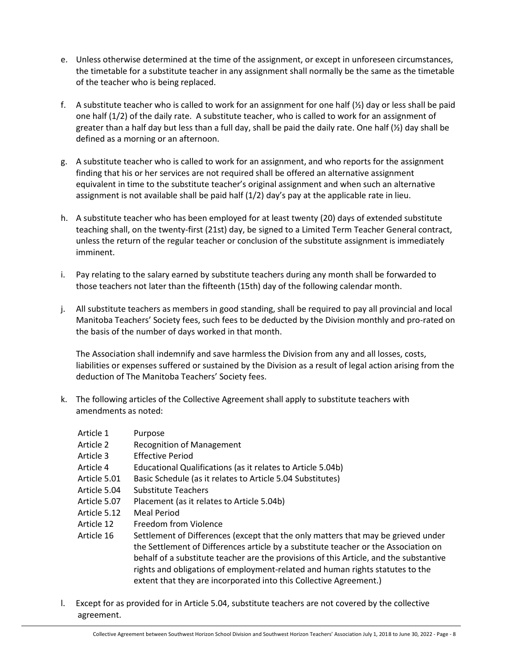- e. Unless otherwise determined at the time of the assignment, or except in unforeseen circumstances, the timetable for a substitute teacher in any assignment shall normally be the same as the timetable of the teacher who is being replaced.
- f. A substitute teacher who is called to work for an assignment for one half  $(\frac{1}{2})$  day or less shall be paid one half (1/2) of the daily rate. A substitute teacher, who is called to work for an assignment of greater than a half day but less than a full day, shall be paid the daily rate. One half  $(\frac{1}{2})$  day shall be defined as a morning or an afternoon.
- g. A substitute teacher who is called to work for an assignment, and who reports for the assignment finding that his or her services are not required shall be offered an alternative assignment equivalent in time to the substitute teacher's original assignment and when such an alternative assignment is not available shall be paid half  $(1/2)$  day's pay at the applicable rate in lieu.
- h. A substitute teacher who has been employed for at least twenty (20) days of extended substitute teaching shall, on the twenty-first (21st) day, be signed to a Limited Term Teacher General contract, unless the return of the regular teacher or conclusion of the substitute assignment is immediately imminent.
- i. Pay relating to the salary earned by substitute teachers during any month shall be forwarded to those teachers not later than the fifteenth (15th) day of the following calendar month.
- j. All substitute teachers as members in good standing, shall be required to pay all provincial and local Manitoba Teachers' Society fees, such fees to be deducted by the Division monthly and pro-rated on the basis of the number of days worked in that month.

The Association shall indemnify and save harmless the Division from any and all losses, costs, liabilities or expenses suffered or sustained by the Division as a result of legal action arising from the deduction of The Manitoba Teachers' Society fees.

- k. The following articles of the Collective Agreement shall apply to substitute teachers with amendments as noted:
	- Article 1 Purpose
	- Article 2 Recognition of Management
	- Article 3 Effective Period
	- Article 4 Educational Qualifications (as it relates to Article 5.04b)
	- Article 5.01 Basic Schedule (as it relates to Article 5.04 Substitutes)
	- Article 5.04 Substitute Teachers
	- Article 5.07 Placement (as it relates to Article 5.04b)
	- Article 5.12 Meal Period
	- Article 12 Freedom from Violence
	- Article 16 Settlement of Differences (except that the only matters that may be grieved under the Settlement of Differences article by a substitute teacher or the Association on behalf of a substitute teacher are the provisions of this Article, and the substantive rights and obligations of employment-related and human rights statutes to the extent that they are incorporated into this Collective Agreement.)
- l. Except for as provided for in Article 5.04, substitute teachers are not covered by the collective agreement.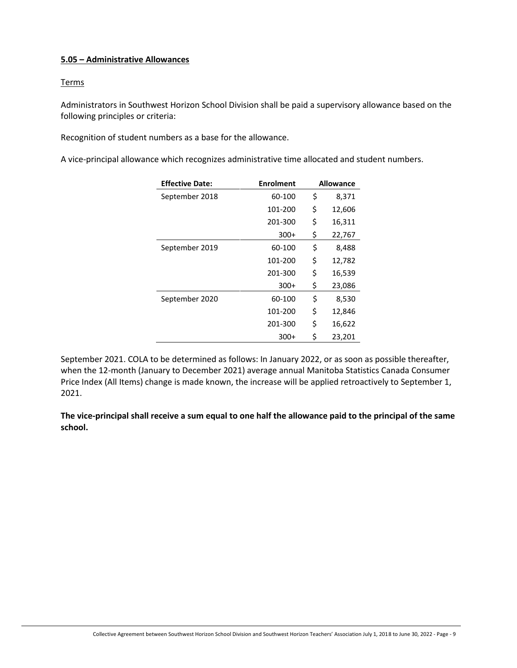# <span id="page-8-0"></span>**5.05 – Administrative Allowances**

# **Terms**

Administrators in Southwest Horizon School Division shall be paid a supervisory allowance based on the following principles or criteria:

Recognition of student numbers as a base for the allowance.

A vice-principal allowance which recognizes administrative time allocated and student numbers.

| <b>Effective Date:</b> | <b>Enrolment</b> | <b>Allowance</b> |
|------------------------|------------------|------------------|
| September 2018         | 60-100           | \$<br>8,371      |
|                        | 101-200          | \$<br>12,606     |
|                        | 201-300          | \$<br>16,311     |
|                        | $300+$           | \$<br>22,767     |
| September 2019         | 60-100           | \$<br>8,488      |
|                        | 101-200          | \$<br>12,782     |
|                        | 201-300          | \$<br>16,539     |
|                        | $300+$           | \$<br>23,086     |
| September 2020         | 60-100           | \$<br>8,530      |
|                        | 101-200          | \$<br>12,846     |
|                        | 201-300          | \$<br>16,622     |
|                        | $300+$           | \$<br>23,201     |

September 2021. COLA to be determined as follows: In January 2022, or as soon as possible thereafter, when the 12-month (January to December 2021) average annual Manitoba Statistics Canada Consumer Price Index (All Items) change is made known, the increase will be applied retroactively to September 1, 2021.

**The vice-principal shall receive a sum equal to one half the allowance paid to the principal of the same school.**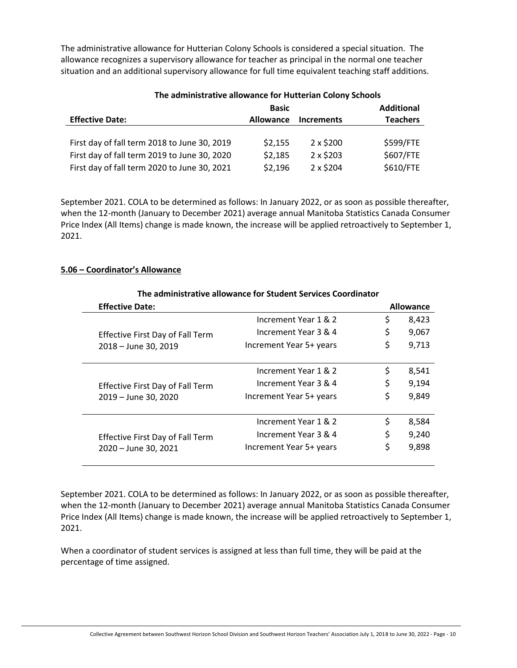The administrative allowance for Hutterian Colony Schools is considered a special situation. The allowance recognizes a supervisory allowance for teacher as principal in the normal one teacher situation and an additional supervisory allowance for full time equivalent teaching staff additions.

|                                              | <b>Basic</b>     |                   | <b>Additional</b> |
|----------------------------------------------|------------------|-------------------|-------------------|
| <b>Effective Date:</b>                       | <b>Allowance</b> | <b>Increments</b> | <b>Teachers</b>   |
|                                              |                  |                   |                   |
| First day of fall term 2018 to June 30, 2019 | \$2,155          | $2 \times $200$   | \$599/FTE         |
| First day of fall term 2019 to June 30, 2020 | \$2,185          | $2 \times $203$   | \$607/FTE         |
| First day of fall term 2020 to June 30, 2021 | \$2,196          | 2 x \$204         | \$610/FTE         |

# **The administrative allowance for Hutterian Colony Schools**

September 2021. COLA to be determined as follows: In January 2022, or as soon as possible thereafter, when the 12-month (January to December 2021) average annual Manitoba Statistics Canada Consumer Price Index (All Items) change is made known, the increase will be applied retroactively to September 1, 2021.

# <span id="page-9-0"></span>**5.06 – Coordinator's Allowance**

|                                         | The administrative allowance for Student Services Coordinator |    | <b>Allowance</b> |  |  |  |  |  |
|-----------------------------------------|---------------------------------------------------------------|----|------------------|--|--|--|--|--|
| <b>Effective Date:</b>                  |                                                               |    |                  |  |  |  |  |  |
|                                         | Increment Year 1 & 2                                          | \$ | 8,423            |  |  |  |  |  |
| <b>Effective First Day of Fall Term</b> | Increment Year 3 & 4                                          | \$ | 9,067            |  |  |  |  |  |
| 2018 - June 30, 2019                    | Increment Year 5+ years                                       | \$ | 9,713            |  |  |  |  |  |
|                                         | Increment Year 1 & 2                                          | \$ | 8,541            |  |  |  |  |  |
| <b>Effective First Day of Fall Term</b> | Increment Year 3 & 4                                          | \$ | 9,194            |  |  |  |  |  |
| 2019 - June 30, 2020                    | Increment Year 5+ years                                       | \$ | 9,849            |  |  |  |  |  |
|                                         | Increment Year 1 & 2                                          | \$ | 8,584            |  |  |  |  |  |
| <b>Effective First Day of Fall Term</b> | Increment Year 3 & 4                                          | \$ | 9,240            |  |  |  |  |  |
| 2020 - June 30, 2021                    | Increment Year 5+ years                                       | \$ | 9,898            |  |  |  |  |  |
|                                         |                                                               |    |                  |  |  |  |  |  |

# **The administrative allowance for Student Services Coordinator**

September 2021. COLA to be determined as follows: In January 2022, or as soon as possible thereafter, when the 12-month (January to December 2021) average annual Manitoba Statistics Canada Consumer Price Index (All Items) change is made known, the increase will be applied retroactively to September 1, 2021.

When a coordinator of student services is assigned at less than full time, they will be paid at the percentage of time assigned.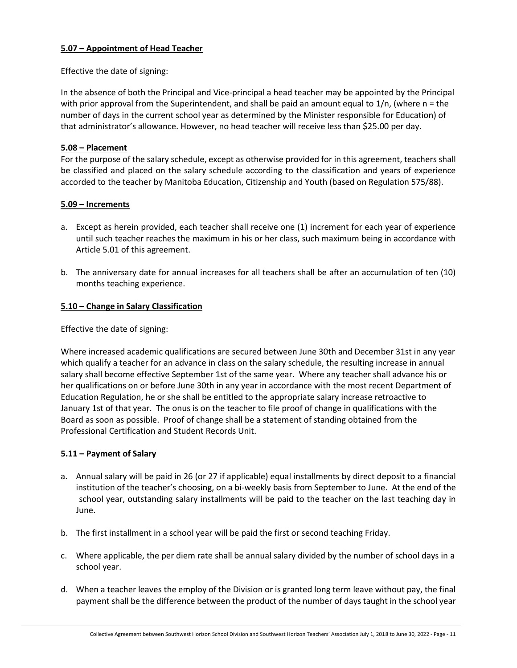# <span id="page-10-0"></span>**5.07 – Appointment of Head Teacher**

Effective the date of signing:

In the absence of both the Principal and Vice-principal a head teacher may be appointed by the Principal with prior approval from the Superintendent, and shall be paid an amount equal to  $1/n$ , (where  $n =$  the number of days in the current school year as determined by the Minister responsible for Education) of that administrator's allowance. However, no head teacher will receive less than \$25.00 per day.

# <span id="page-10-1"></span>**5.08 – Placement**

For the purpose of the salary schedule, except as otherwise provided for in this agreement, teachers shall be classified and placed on the salary schedule according to the classification and years of experience accorded to the teacher by Manitoba Education, Citizenship and Youth (based on Regulation 575/88).

# <span id="page-10-2"></span>**5.09 – Increments**

- a. Except as herein provided, each teacher shall receive one (1) increment for each year of experience until such teacher reaches the maximum in his or her class, such maximum being in accordance with Article 5.01 of this agreement.
- b. The anniversary date for annual increases for all teachers shall be after an accumulation of ten (10) months teaching experience.

# <span id="page-10-3"></span>**5.10 – Change in Salary Classification**

Effective the date of signing:

Where increased academic qualifications are secured between June 30th and December 31st in any year which qualify a teacher for an advance in class on the salary schedule, the resulting increase in annual salary shall become effective September 1st of the same year. Where any teacher shall advance his or her qualifications on or before June 30th in any year in accordance with the most recent Department of Education Regulation, he or she shall be entitled to the appropriate salary increase retroactive to January 1st of that year. The onus is on the teacher to file proof of change in qualifications with the Board as soon as possible. Proof of change shall be a statement of standing obtained from the Professional Certification and Student Records Unit.

# <span id="page-10-4"></span>**5.11 – Payment of Salary**

- a. Annual salary will be paid in 26 (or 27 if applicable) equal installments by direct deposit to a financial institution of the teacher's choosing, on a bi-weekly basis from September to June. At the end of the school year, outstanding salary installments will be paid to the teacher on the last teaching day in June.
- b. The first installment in a school year will be paid the first or second teaching Friday.
- c. Where applicable, the per diem rate shall be annual salary divided by the number of school days in a school year.
- d. When a teacher leaves the employ of the Division or is granted long term leave without pay, the final payment shall be the difference between the product of the number of days taught in the school year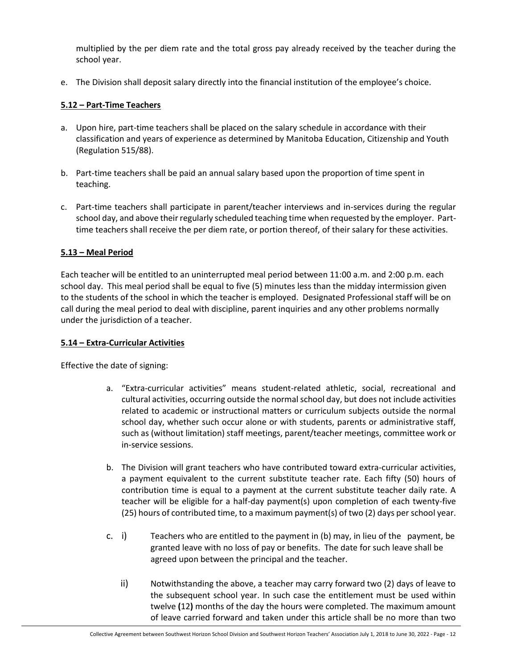multiplied by the per diem rate and the total gross pay already received by the teacher during the school year.

e. The Division shall deposit salary directly into the financial institution of the employee's choice.

# <span id="page-11-0"></span>**5.12 – Part-Time Teachers**

- a. Upon hire, part-time teachers shall be placed on the salary schedule in accordance with their classification and years of experience as determined by Manitoba Education, Citizenship and Youth (Regulation 515/88).
- b. Part-time teachers shall be paid an annual salary based upon the proportion of time spent in teaching.
- c. Part-time teachers shall participate in parent/teacher interviews and in-services during the regular school day, and above their regularly scheduled teaching time when requested by the employer. Parttime teachers shall receive the per diem rate, or portion thereof, of their salary for these activities.

# <span id="page-11-1"></span>**5.13 – Meal Period**

Each teacher will be entitled to an uninterrupted meal period between 11:00 a.m. and 2:00 p.m. each school day. This meal period shall be equal to five (5) minutes less than the midday intermission given to the students of the school in which the teacher is employed. Designated Professional staff will be on call during the meal period to deal with discipline, parent inquiries and any other problems normally under the jurisdiction of a teacher.

# <span id="page-11-2"></span>**5.14 – Extra-Curricular Activities**

Effective the date of signing:

- a. "Extra-curricular activities" means student-related athletic, social, recreational and cultural activities, occurring outside the normal school day, but does not include activities related to academic or instructional matters or curriculum subjects outside the normal school day, whether such occur alone or with students, parents or administrative staff, such as (without limitation) staff meetings, parent/teacher meetings, committee work or in-service sessions.
- b. The Division will grant teachers who have contributed toward extra-curricular activities, a payment equivalent to the current substitute teacher rate. Each fifty (50) hours of contribution time is equal to a payment at the current substitute teacher daily rate. A teacher will be eligible for a half-day payment(s) upon completion of each twenty-five (25) hours of contributed time, to a maximum payment(s) of two (2) days per school year.
- c. i) Teachers who are entitled to the payment in (b) may, in lieu of the payment, be granted leave with no loss of pay or benefits. The date for such leave shall be agreed upon between the principal and the teacher.
	- ii) Notwithstanding the above, a teacher may carry forward two (2) days of leave to the subsequent school year. In such case the entitlement must be used within twelve **(**12**)** months of the day the hours were completed. The maximum amount of leave carried forward and taken under this article shall be no more than two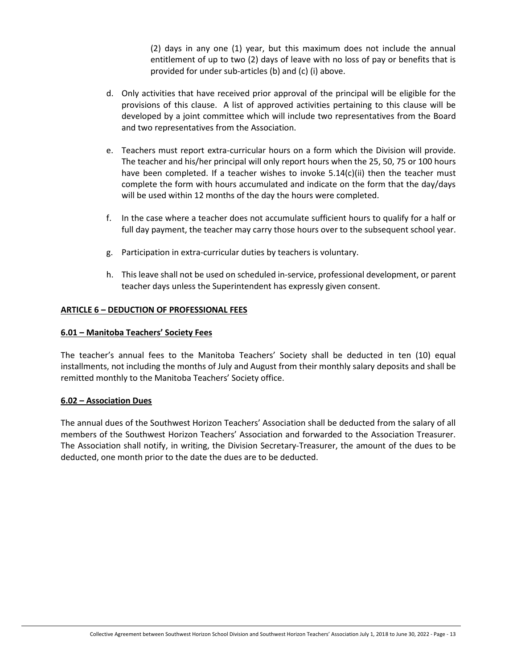(2) days in any one (1) year, but this maximum does not include the annual entitlement of up to two (2) days of leave with no loss of pay or benefits that is provided for under sub-articles (b) and (c) (i) above.

- d. Only activities that have received prior approval of the principal will be eligible for the provisions of this clause. A list of approved activities pertaining to this clause will be developed by a joint committee which will include two representatives from the Board and two representatives from the Association.
- e. Teachers must report extra-curricular hours on a form which the Division will provide. The teacher and his/her principal will only report hours when the 25, 50, 75 or 100 hours have been completed. If a teacher wishes to invoke  $5.14(c)(ii)$  then the teacher must complete the form with hours accumulated and indicate on the form that the day/days will be used within 12 months of the day the hours were completed.
- f. In the case where a teacher does not accumulate sufficient hours to qualify for a half or full day payment, the teacher may carry those hours over to the subsequent school year.
- g. Participation in extra-curricular duties by teachers is voluntary.
- h. This leave shall not be used on scheduled in-service, professional development, or parent teacher days unless the Superintendent has expressly given consent.

# <span id="page-12-0"></span>**ARTICLE 6 – DEDUCTION OF PROFESSIONAL FEES**

# <span id="page-12-1"></span>**6.01 – Manitoba Teachers' Society Fees**

The teacher's annual fees to the Manitoba Teachers' Society shall be deducted in ten (10) equal installments, not including the months of July and August from their monthly salary deposits and shall be remitted monthly to the Manitoba Teachers' Society office.

# <span id="page-12-2"></span>**6.02 – Association Dues**

The annual dues of the Southwest Horizon Teachers' Association shall be deducted from the salary of all members of the Southwest Horizon Teachers' Association and forwarded to the Association Treasurer. The Association shall notify, in writing, the Division Secretary-Treasurer, the amount of the dues to be deducted, one month prior to the date the dues are to be deducted.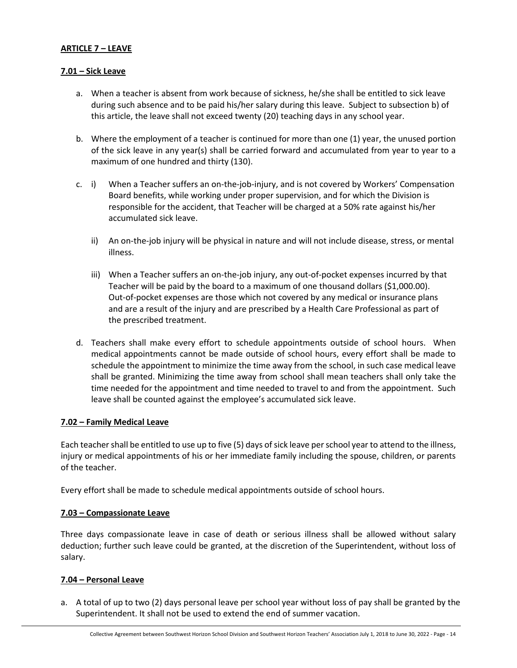# <span id="page-13-0"></span>**ARTICLE 7 – LEAVE**

#### <span id="page-13-1"></span>**7.01 – Sick Leave**

- a. When a teacher is absent from work because of sickness, he/she shall be entitled to sick leave during such absence and to be paid his/her salary during this leave. Subject to subsection b) of this article, the leave shall not exceed twenty (20) teaching days in any school year.
- b. Where the employment of a teacher is continued for more than one (1) year, the unused portion of the sick leave in any year(s) shall be carried forward and accumulated from year to year to a maximum of one hundred and thirty (130).
- c. i) When a Teacher suffers an on-the-job-injury, and is not covered by Workers' Compensation Board benefits, while working under proper supervision, and for which the Division is responsible for the accident, that Teacher will be charged at a 50% rate against his/her accumulated sick leave.
	- ii) An on-the-job injury will be physical in nature and will not include disease, stress, or mental illness.
	- iii) When a Teacher suffers an on-the-job injury, any out-of-pocket expenses incurred by that Teacher will be paid by the board to a maximum of one thousand dollars (\$1,000.00). Out-of-pocket expenses are those which not covered by any medical or insurance plans and are a result of the injury and are prescribed by a Health Care Professional as part of the prescribed treatment.
- d. Teachers shall make every effort to schedule appointments outside of school hours. When medical appointments cannot be made outside of school hours, every effort shall be made to schedule the appointment to minimize the time away from the school, in such case medical leave shall be granted. Minimizing the time away from school shall mean teachers shall only take the time needed for the appointment and time needed to travel to and from the appointment. Such leave shall be counted against the employee's accumulated sick leave.

#### <span id="page-13-2"></span>**7.02 – Family Medical Leave**

Each teacher shall be entitled to use up to five (5) days of sick leave per school year to attend to the illness, injury or medical appointments of his or her immediate family including the spouse, children, or parents of the teacher.

Every effort shall be made to schedule medical appointments outside of school hours.

#### <span id="page-13-3"></span>**7.03 – Compassionate Leave**

Three days compassionate leave in case of death or serious illness shall be allowed without salary deduction; further such leave could be granted, at the discretion of the Superintendent, without loss of salary.

# <span id="page-13-4"></span>**7.04 – Personal Leave**

a. A total of up to two (2) days personal leave per school year without loss of pay shall be granted by the Superintendent. It shall not be used to extend the end of summer vacation.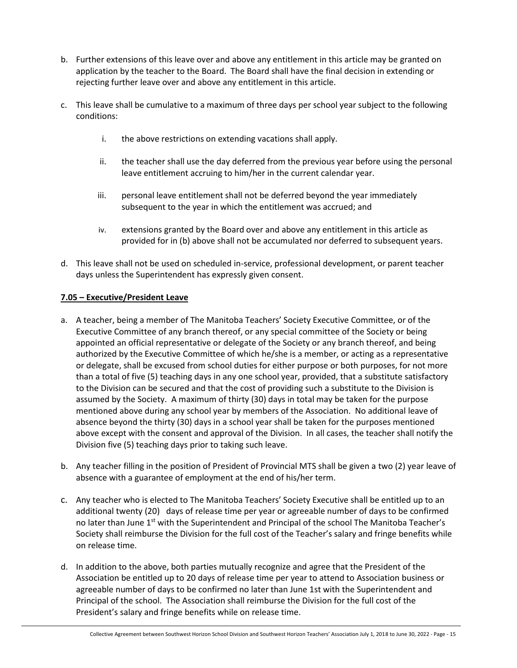- b. Further extensions of this leave over and above any entitlement in this article may be granted on application by the teacher to the Board. The Board shall have the final decision in extending or rejecting further leave over and above any entitlement in this article.
- c. This leave shall be cumulative to a maximum of three days per school year subject to the following conditions:
	- i. the above restrictions on extending vacations shall apply.
	- ii. the teacher shall use the day deferred from the previous year before using the personal leave entitlement accruing to him/her in the current calendar year.
	- iii. personal leave entitlement shall not be deferred beyond the year immediately subsequent to the year in which the entitlement was accrued; and
	- iv. extensions granted by the Board over and above any entitlement in this article as provided for in (b) above shall not be accumulated nor deferred to subsequent years.
- d. This leave shall not be used on scheduled in-service, professional development, or parent teacher days unless the Superintendent has expressly given consent.

# <span id="page-14-0"></span>**7.05 – Executive/President Leave**

- a. A teacher, being a member of The Manitoba Teachers' Society Executive Committee, or of the Executive Committee of any branch thereof, or any special committee of the Society or being appointed an official representative or delegate of the Society or any branch thereof, and being authorized by the Executive Committee of which he/she is a member, or acting as a representative or delegate, shall be excused from school duties for either purpose or both purposes, for not more than a total of five (5) teaching days in any one school year, provided, that a substitute satisfactory to the Division can be secured and that the cost of providing such a substitute to the Division is assumed by the Society. A maximum of thirty (30) days in total may be taken for the purpose mentioned above during any school year by members of the Association. No additional leave of absence beyond the thirty (30) days in a school year shall be taken for the purposes mentioned above except with the consent and approval of the Division. In all cases, the teacher shall notify the Division five (5) teaching days prior to taking such leave.
- b. Any teacher filling in the position of President of Provincial MTS shall be given a two (2) year leave of absence with a guarantee of employment at the end of his/her term.
- c. Any teacher who is elected to The Manitoba Teachers' Society Executive shall be entitled up to an additional twenty (20) days of release time per year or agreeable number of days to be confirmed no later than June 1<sup>st</sup> with the Superintendent and Principal of the school The Manitoba Teacher's Society shall reimburse the Division for the full cost of the Teacher's salary and fringe benefits while on release time.
- d. In addition to the above, both parties mutually recognize and agree that the President of the Association be entitled up to 20 days of release time per year to attend to Association business or agreeable number of days to be confirmed no later than June 1st with the Superintendent and Principal of the school. The Association shall reimburse the Division for the full cost of the President's salary and fringe benefits while on release time.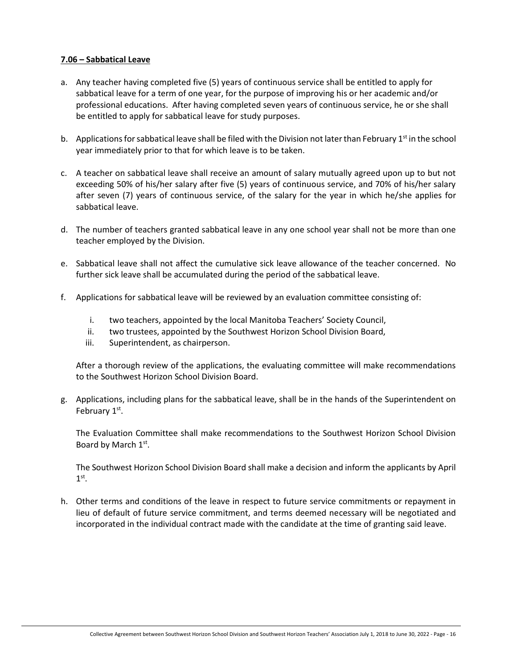# <span id="page-15-0"></span>**7.06 – Sabbatical Leave**

- a. Any teacher having completed five (5) years of continuous service shall be entitled to apply for sabbatical leave for a term of one year, for the purpose of improving his or her academic and/or professional educations. After having completed seven years of continuous service, he or she shall be entitled to apply for sabbatical leave for study purposes.
- b. Applications for sabbatical leave shall be filed with the Division not later than February  $1<sup>st</sup>$  in the school year immediately prior to that for which leave is to be taken.
- c. A teacher on sabbatical leave shall receive an amount of salary mutually agreed upon up to but not exceeding 50% of his/her salary after five (5) years of continuous service, and 70% of his/her salary after seven (7) years of continuous service, of the salary for the year in which he/she applies for sabbatical leave.
- d. The number of teachers granted sabbatical leave in any one school year shall not be more than one teacher employed by the Division.
- e. Sabbatical leave shall not affect the cumulative sick leave allowance of the teacher concerned. No further sick leave shall be accumulated during the period of the sabbatical leave.
- f. Applications for sabbatical leave will be reviewed by an evaluation committee consisting of:
	- i. two teachers, appointed by the local Manitoba Teachers' Society Council,
	- ii. two trustees, appointed by the Southwest Horizon School Division Board,
	- iii. Superintendent, as chairperson.

After a thorough review of the applications, the evaluating committee will make recommendations to the Southwest Horizon School Division Board.

g. Applications, including plans for the sabbatical leave, shall be in the hands of the Superintendent on February 1st.

The Evaluation Committee shall make recommendations to the Southwest Horizon School Division Board by March 1st.

The Southwest Horizon School Division Board shall make a decision and inform the applicants by April  $1^\text{st}$ .

h. Other terms and conditions of the leave in respect to future service commitments or repayment in lieu of default of future service commitment, and terms deemed necessary will be negotiated and incorporated in the individual contract made with the candidate at the time of granting said leave.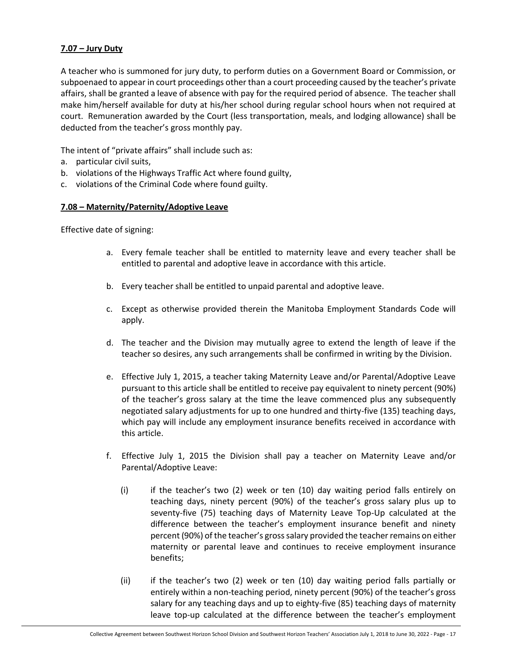# <span id="page-16-0"></span>**7.07 – Jury Duty**

A teacher who is summoned for jury duty, to perform duties on a Government Board or Commission, or subpoenaed to appear in court proceedings other than a court proceeding caused by the teacher's private affairs, shall be granted a leave of absence with pay for the required period of absence. The teacher shall make him/herself available for duty at his/her school during regular school hours when not required at court. Remuneration awarded by the Court (less transportation, meals, and lodging allowance) shall be deducted from the teacher's gross monthly pay.

The intent of "private affairs" shall include such as:

- a. particular civil suits,
- b. violations of the Highways Traffic Act where found guilty,
- c. violations of the Criminal Code where found guilty.

# <span id="page-16-1"></span>**7.08 – Maternity/Paternity/Adoptive Leave**

Effective date of signing:

- a. Every female teacher shall be entitled to maternity leave and every teacher shall be entitled to parental and adoptive leave in accordance with this article.
- b. Every teacher shall be entitled to unpaid parental and adoptive leave.
- c. Except as otherwise provided therein the Manitoba Employment Standards Code will apply.
- d. The teacher and the Division may mutually agree to extend the length of leave if the teacher so desires, any such arrangements shall be confirmed in writing by the Division.
- e. Effective July 1, 2015, a teacher taking Maternity Leave and/or Parental/Adoptive Leave pursuant to this article shall be entitled to receive pay equivalent to ninety percent (90%) of the teacher's gross salary at the time the leave commenced plus any subsequently negotiated salary adjustments for up to one hundred and thirty-five (135) teaching days, which pay will include any employment insurance benefits received in accordance with this article.
- f. Effective July 1, 2015 the Division shall pay a teacher on Maternity Leave and/or Parental/Adoptive Leave:
	- (i) if the teacher's two  $(2)$  week or ten  $(10)$  day waiting period falls entirely on teaching days, ninety percent (90%) of the teacher's gross salary plus up to seventy-five (75) teaching days of Maternity Leave Top-Up calculated at the difference between the teacher's employment insurance benefit and ninety percent (90%) of the teacher's gross salary provided the teacher remains on either maternity or parental leave and continues to receive employment insurance benefits;
	- (ii) if the teacher's two (2) week or ten (10) day waiting period falls partially or entirely within a non-teaching period, ninety percent (90%) of the teacher's gross salary for any teaching days and up to eighty-five (85) teaching days of maternity leave top-up calculated at the difference between the teacher's employment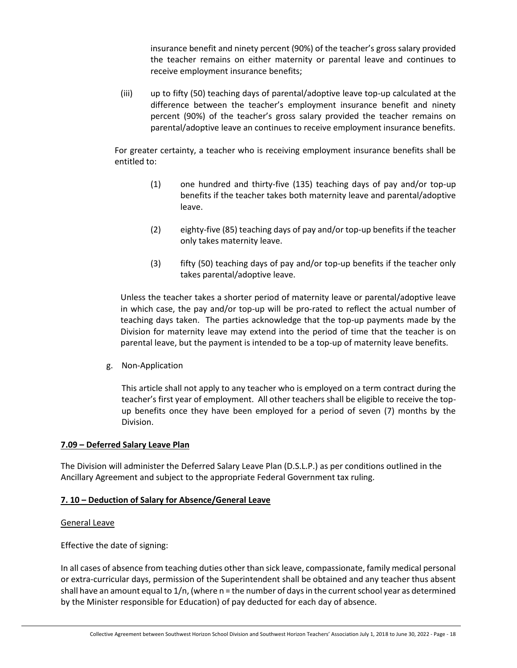insurance benefit and ninety percent (90%) of the teacher's gross salary provided the teacher remains on either maternity or parental leave and continues to receive employment insurance benefits;

(iii) up to fifty (50) teaching days of parental/adoptive leave top-up calculated at the difference between the teacher's employment insurance benefit and ninety percent (90%) of the teacher's gross salary provided the teacher remains on parental/adoptive leave an continues to receive employment insurance benefits.

For greater certainty, a teacher who is receiving employment insurance benefits shall be entitled to:

- (1) one hundred and thirty-five (135) teaching days of pay and/or top-up benefits if the teacher takes both maternity leave and parental/adoptive leave.
- (2) eighty-five (85) teaching days of pay and/or top-up benefits if the teacher only takes maternity leave.
- (3) fifty (50) teaching days of pay and/or top-up benefits if the teacher only takes parental/adoptive leave.

Unless the teacher takes a shorter period of maternity leave or parental/adoptive leave in which case, the pay and/or top-up will be pro-rated to reflect the actual number of teaching days taken. The parties acknowledge that the top-up payments made by the Division for maternity leave may extend into the period of time that the teacher is on parental leave, but the payment is intended to be a top-up of maternity leave benefits.

g. Non-Application

This article shall not apply to any teacher who is employed on a term contract during the teacher's first year of employment. All other teachers shall be eligible to receive the topup benefits once they have been employed for a period of seven (7) months by the Division.

# <span id="page-17-0"></span>**7.09 – Deferred Salary Leave Plan**

The Division will administer the Deferred Salary Leave Plan (D.S.L.P.) as per conditions outlined in the Ancillary Agreement and subject to the appropriate Federal Government tax ruling.

# <span id="page-17-1"></span>**7. 10 – Deduction of Salary for Absence/General Leave**

# General Leave

Effective the date of signing:

In all cases of absence from teaching duties other than sick leave, compassionate, family medical personal or extra-curricular days, permission of the Superintendent shall be obtained and any teacher thus absent shall have an amount equal to 1/n, (where n = the number of days in the current school year as determined by the Minister responsible for Education) of pay deducted for each day of absence.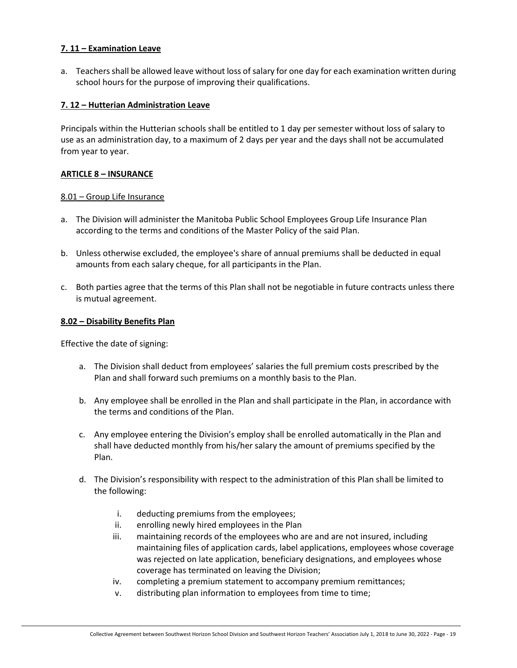# <span id="page-18-0"></span>**7. 11 – Examination Leave**

a. Teachers shall be allowed leave without loss of salary for one day for each examination written during school hours for the purpose of improving their qualifications.

#### <span id="page-18-1"></span>**7. 12 – Hutterian Administration Leave**

Principals within the Hutterian schools shall be entitled to 1 day per semester without loss of salary to use as an administration day, to a maximum of 2 days per year and the days shall not be accumulated from year to year.

#### <span id="page-18-2"></span>**ARTICLE 8 – INSURANCE**

#### <span id="page-18-3"></span>8.01 – Group Life Insurance

- a. The Division will administer the Manitoba Public School Employees Group Life Insurance Plan according to the terms and conditions of the Master Policy of the said Plan.
- b. Unless otherwise excluded, the employee's share of annual premiums shall be deducted in equal amounts from each salary cheque, for all participants in the Plan.
- c. Both parties agree that the terms of this Plan shall not be negotiable in future contracts unless there is mutual agreement.

#### <span id="page-18-4"></span>**8.02 – Disability Benefits Plan**

Effective the date of signing:

- a. The Division shall deduct from employees' salaries the full premium costs prescribed by the Plan and shall forward such premiums on a monthly basis to the Plan.
- b. Any employee shall be enrolled in the Plan and shall participate in the Plan, in accordance with the terms and conditions of the Plan.
- c. Any employee entering the Division's employ shall be enrolled automatically in the Plan and shall have deducted monthly from his/her salary the amount of premiums specified by the Plan.
- d. The Division's responsibility with respect to the administration of this Plan shall be limited to the following:
	- i. deducting premiums from the employees;
	- ii. enrolling newly hired employees in the Plan
	- iii. maintaining records of the employees who are and are not insured, including maintaining files of application cards, label applications, employees whose coverage was rejected on late application, beneficiary designations, and employees whose coverage has terminated on leaving the Division;
	- iv. completing a premium statement to accompany premium remittances;
	- v. distributing plan information to employees from time to time;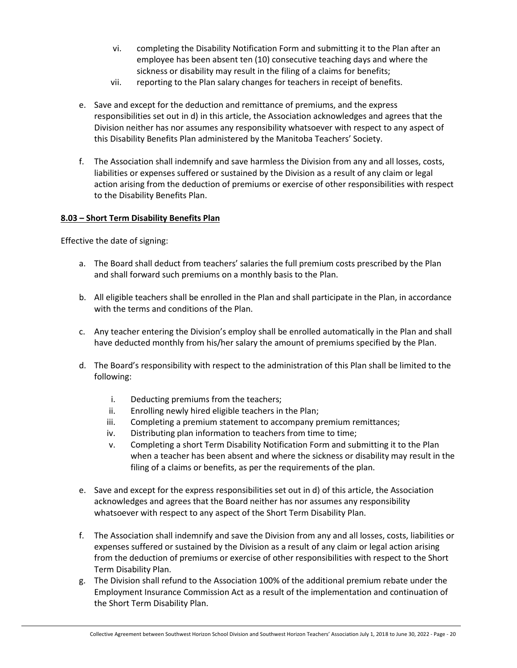- vi. completing the Disability Notification Form and submitting it to the Plan after an employee has been absent ten (10) consecutive teaching days and where the sickness or disability may result in the filing of a claims for benefits;
- vii. reporting to the Plan salary changes for teachers in receipt of benefits.
- e. Save and except for the deduction and remittance of premiums, and the express responsibilities set out in d) in this article, the Association acknowledges and agrees that the Division neither has nor assumes any responsibility whatsoever with respect to any aspect of this Disability Benefits Plan administered by the Manitoba Teachers' Society.
- f. The Association shall indemnify and save harmless the Division from any and all losses, costs, liabilities or expenses suffered or sustained by the Division as a result of any claim or legal action arising from the deduction of premiums or exercise of other responsibilities with respect to the Disability Benefits Plan.

# <span id="page-19-0"></span>**8.03 – Short Term Disability Benefits Plan**

Effective the date of signing:

- a. The Board shall deduct from teachers' salaries the full premium costs prescribed by the Plan and shall forward such premiums on a monthly basis to the Plan.
- b. All eligible teachers shall be enrolled in the Plan and shall participate in the Plan, in accordance with the terms and conditions of the Plan.
- c. Any teacher entering the Division's employ shall be enrolled automatically in the Plan and shall have deducted monthly from his/her salary the amount of premiums specified by the Plan.
- d. The Board's responsibility with respect to the administration of this Plan shall be limited to the following:
	- i. Deducting premiums from the teachers;
	- ii. Enrolling newly hired eligible teachers in the Plan;
	- iii. Completing a premium statement to accompany premium remittances;
	- iv. Distributing plan information to teachers from time to time;
	- v. Completing a short Term Disability Notification Form and submitting it to the Plan when a teacher has been absent and where the sickness or disability may result in the filing of a claims or benefits, as per the requirements of the plan.
- e. Save and except for the express responsibilities set out in d) of this article, the Association acknowledges and agrees that the Board neither has nor assumes any responsibility whatsoever with respect to any aspect of the Short Term Disability Plan.
- f. The Association shall indemnify and save the Division from any and all losses, costs, liabilities or expenses suffered or sustained by the Division as a result of any claim or legal action arising from the deduction of premiums or exercise of other responsibilities with respect to the Short Term Disability Plan.
- g. The Division shall refund to the Association 100% of the additional premium rebate under the Employment Insurance Commission Act as a result of the implementation and continuation of the Short Term Disability Plan.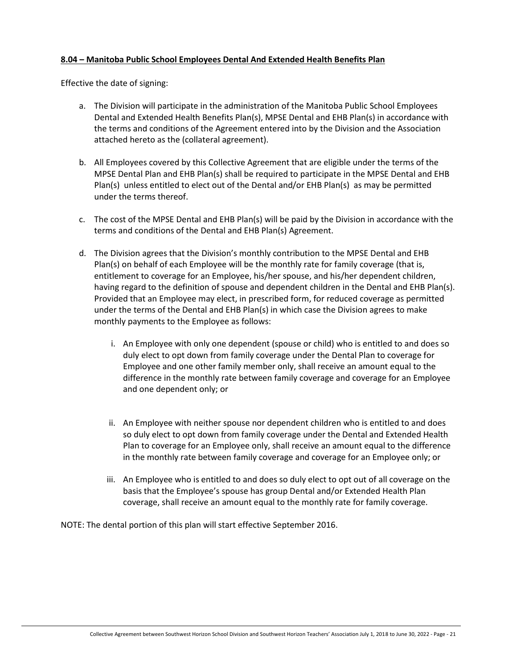# <span id="page-20-0"></span>**8.04 – Manitoba Public School Employees Dental And Extended Health Benefits Plan**

Effective the date of signing:

- a. The Division will participate in the administration of the Manitoba Public School Employees Dental and Extended Health Benefits Plan(s), MPSE Dental and EHB Plan(s) in accordance with the terms and conditions of the Agreement entered into by the Division and the Association attached hereto as the (collateral agreement).
- b. All Employees covered by this Collective Agreement that are eligible under the terms of the MPSE Dental Plan and EHB Plan(s) shall be required to participate in the MPSE Dental and EHB Plan(s) unless entitled to elect out of the Dental and/or EHB Plan(s) as may be permitted under the terms thereof.
- c. The cost of the MPSE Dental and EHB Plan(s) will be paid by the Division in accordance with the terms and conditions of the Dental and EHB Plan(s) Agreement.
- d. The Division agrees that the Division's monthly contribution to the MPSE Dental and EHB Plan(s) on behalf of each Employee will be the monthly rate for family coverage (that is, entitlement to coverage for an Employee, his/her spouse, and his/her dependent children, having regard to the definition of spouse and dependent children in the Dental and EHB Plan(s). Provided that an Employee may elect, in prescribed form, for reduced coverage as permitted under the terms of the Dental and EHB Plan(s) in which case the Division agrees to make monthly payments to the Employee as follows:
	- i. An Employee with only one dependent (spouse or child) who is entitled to and does so duly elect to opt down from family coverage under the Dental Plan to coverage for Employee and one other family member only, shall receive an amount equal to the difference in the monthly rate between family coverage and coverage for an Employee and one dependent only; or
	- ii. An Employee with neither spouse nor dependent children who is entitled to and does so duly elect to opt down from family coverage under the Dental and Extended Health Plan to coverage for an Employee only, shall receive an amount equal to the difference in the monthly rate between family coverage and coverage for an Employee only; or
	- iii. An Employee who is entitled to and does so duly elect to opt out of all coverage on the basis that the Employee's spouse has group Dental and/or Extended Health Plan coverage, shall receive an amount equal to the monthly rate for family coverage.

NOTE: The dental portion of this plan will start effective September 2016.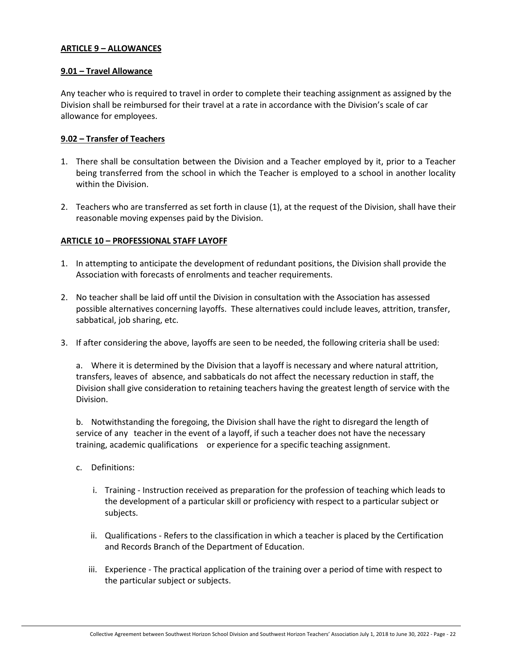# <span id="page-21-0"></span>**ARTICLE 9 – ALLOWANCES**

#### <span id="page-21-1"></span>**9.01 – Travel Allowance**

Any teacher who is required to travel in order to complete their teaching assignment as assigned by the Division shall be reimbursed for their travel at a rate in accordance with the Division's scale of car allowance for employees.

# <span id="page-21-2"></span>**9.02 – Transfer of Teachers**

- 1. There shall be consultation between the Division and a Teacher employed by it, prior to a Teacher being transferred from the school in which the Teacher is employed to a school in another locality within the Division.
- 2. Teachers who are transferred as set forth in clause (1), at the request of the Division, shall have their reasonable moving expenses paid by the Division.

# <span id="page-21-3"></span>**ARTICLE 10 – PROFESSIONAL STAFF LAYOFF**

- 1. In attempting to anticipate the development of redundant positions, the Division shall provide the Association with forecasts of enrolments and teacher requirements.
- 2. No teacher shall be laid off until the Division in consultation with the Association has assessed possible alternatives concerning layoffs. These alternatives could include leaves, attrition, transfer, sabbatical, job sharing, etc.
- 3. If after considering the above, layoffs are seen to be needed, the following criteria shall be used:

a. Where it is determined by the Division that a layoff is necessary and where natural attrition, transfers, leaves of absence, and sabbaticals do not affect the necessary reduction in staff, the Division shall give consideration to retaining teachers having the greatest length of service with the Division.

b. Notwithstanding the foregoing, the Division shall have the right to disregard the length of service of any teacher in the event of a layoff, if such a teacher does not have the necessary training, academic qualifications or experience for a specific teaching assignment.

- c. Definitions:
	- i. Training Instruction received as preparation for the profession of teaching which leads to the development of a particular skill or proficiency with respect to a particular subject or subjects.
	- ii. Qualifications Refers to the classification in which a teacher is placed by the Certification and Records Branch of the Department of Education.
	- iii. Experience The practical application of the training over a period of time with respect to the particular subject or subjects.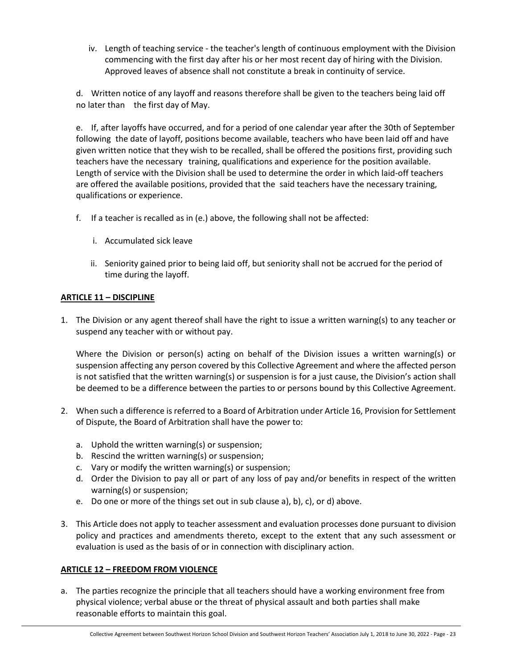iv. Length of teaching service - the teacher's length of continuous employment with the Division commencing with the first day after his or her most recent day of hiring with the Division. Approved leaves of absence shall not constitute a break in continuity of service.

d. Written notice of any layoff and reasons therefore shall be given to the teachers being laid off no later than the first day of May.

e. If, after layoffs have occurred, and for a period of one calendar year after the 30th of September following the date of layoff, positions become available, teachers who have been laid off and have given written notice that they wish to be recalled, shall be offered the positions first, providing such teachers have the necessary training, qualifications and experience for the position available. Length of service with the Division shall be used to determine the order in which laid-off teachers are offered the available positions, provided that the said teachers have the necessary training, qualifications or experience.

- f. If a teacher is recalled as in (e.) above, the following shall not be affected:
	- i. Accumulated sick leave
	- ii. Seniority gained prior to being laid off, but seniority shall not be accrued for the period of time during the layoff.

# <span id="page-22-0"></span>**ARTICLE 11 – DISCIPLINE**

1. The Division or any agent thereof shall have the right to issue a written warning(s) to any teacher or suspend any teacher with or without pay.

Where the Division or person(s) acting on behalf of the Division issues a written warning(s) or suspension affecting any person covered by this Collective Agreement and where the affected person is not satisfied that the written warning(s) or suspension is for a just cause, the Division's action shall be deemed to be a difference between the parties to or persons bound by this Collective Agreement.

- 2. When such a difference is referred to a Board of Arbitration under Article 16, Provision for Settlement of Dispute, the Board of Arbitration shall have the power to:
	- a. Uphold the written warning(s) or suspension;
	- b. Rescind the written warning(s) or suspension;
	- c. Vary or modify the written warning(s) or suspension;
	- d. Order the Division to pay all or part of any loss of pay and/or benefits in respect of the written warning(s) or suspension;
	- e. Do one or more of the things set out in sub clause a), b), c), or d) above.
- 3. This Article does not apply to teacher assessment and evaluation processes done pursuant to division policy and practices and amendments thereto, except to the extent that any such assessment or evaluation is used as the basis of or in connection with disciplinary action.

# <span id="page-22-1"></span>**ARTICLE 12 – FREEDOM FROM VIOLENCE**

a. The parties recognize the principle that all teachers should have a working environment free from physical violence; verbal abuse or the threat of physical assault and both parties shall make reasonable efforts to maintain this goal.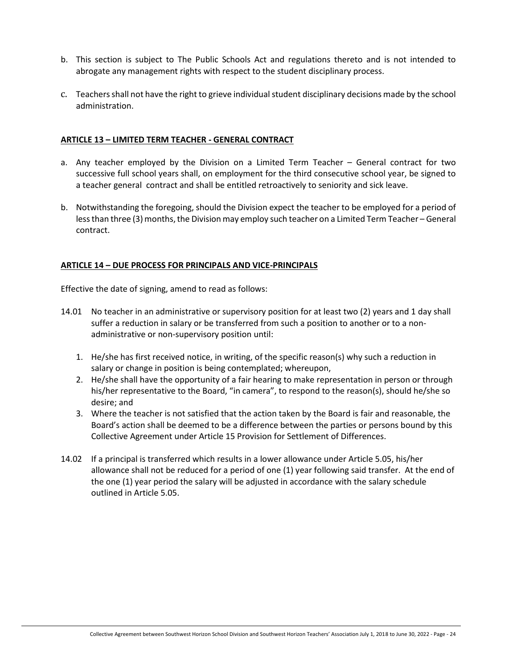- b. This section is subject to The Public Schools Act and regulations thereto and is not intended to abrogate any management rights with respect to the student disciplinary process.
- c. Teachers shall not have the right to grieve individual student disciplinary decisions made by the school administration.

#### <span id="page-23-0"></span>**ARTICLE 13 – LIMITED TERM TEACHER - GENERAL CONTRACT**

- a. Any teacher employed by the Division on a Limited Term Teacher General contract for two successive full school years shall, on employment for the third consecutive school year, be signed to a teacher general contract and shall be entitled retroactively to seniority and sick leave.
- b. Notwithstanding the foregoing, should the Division expect the teacher to be employed for a period of less than three (3) months, the Division may employ such teacher on a Limited Term Teacher – General contract.

# <span id="page-23-1"></span>**ARTICLE 14 – DUE PROCESS FOR PRINCIPALS AND VICE-PRINCIPALS**

Effective the date of signing, amend to read as follows:

- 14.01 No teacher in an administrative or supervisory position for at least two (2) years and 1 day shall suffer a reduction in salary or be transferred from such a position to another or to a nonadministrative or non-supervisory position until:
	- 1. He/she has first received notice, in writing, of the specific reason(s) why such a reduction in salary or change in position is being contemplated; whereupon,
	- 2. He/she shall have the opportunity of a fair hearing to make representation in person or through his/her representative to the Board, "in camera", to respond to the reason(s), should he/she so desire; and
	- 3. Where the teacher is not satisfied that the action taken by the Board is fair and reasonable, the Board's action shall be deemed to be a difference between the parties or persons bound by this Collective Agreement under Article 15 Provision for Settlement of Differences.
- 14.02 If a principal is transferred which results in a lower allowance under Article 5.05, his/her allowance shall not be reduced for a period of one (1) year following said transfer. At the end of the one (1) year period the salary will be adjusted in accordance with the salary schedule outlined in Article 5.05.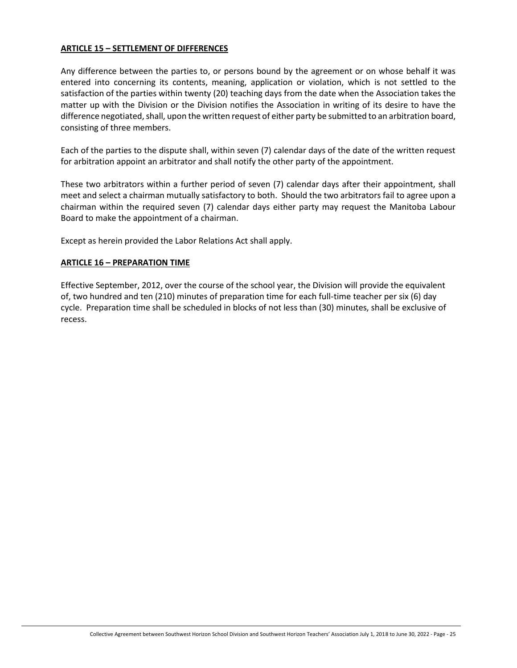# <span id="page-24-0"></span>**ARTICLE 15 – SETTLEMENT OF DIFFERENCES**

Any difference between the parties to, or persons bound by the agreement or on whose behalf it was entered into concerning its contents, meaning, application or violation, which is not settled to the satisfaction of the parties within twenty (20) teaching days from the date when the Association takes the matter up with the Division or the Division notifies the Association in writing of its desire to have the difference negotiated, shall, upon the written request of either party be submitted to an arbitration board, consisting of three members.

Each of the parties to the dispute shall, within seven (7) calendar days of the date of the written request for arbitration appoint an arbitrator and shall notify the other party of the appointment.

These two arbitrators within a further period of seven (7) calendar days after their appointment, shall meet and select a chairman mutually satisfactory to both. Should the two arbitrators fail to agree upon a chairman within the required seven (7) calendar days either party may request the Manitoba Labour Board to make the appointment of a chairman.

Except as herein provided the Labor Relations Act shall apply.

#### <span id="page-24-1"></span>**ARTICLE 16 – PREPARATION TIME**

Effective September, 2012, over the course of the school year, the Division will provide the equivalent of, two hundred and ten (210) minutes of preparation time for each full-time teacher per six (6) day cycle. Preparation time shall be scheduled in blocks of not less than (30) minutes, shall be exclusive of recess.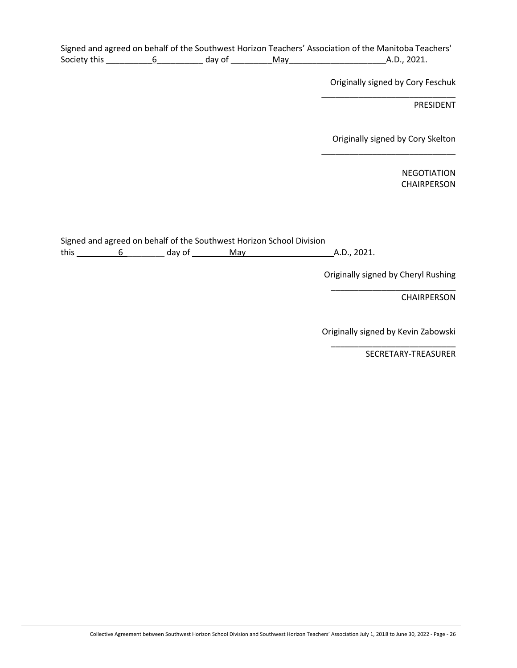|              |        |     | Signed and agreed on behalf of the Southwest Horizon Teachers' Association of the Manitoba Teachers' |
|--------------|--------|-----|------------------------------------------------------------------------------------------------------|
| Society this | day of | Mav | A.D., 2021.                                                                                          |

Originally signed by Cory Feschuk \_\_\_\_\_\_\_\_\_\_\_\_\_\_\_\_\_\_\_\_\_\_\_\_\_\_\_\_\_

PRESIDENT

Originally signed by Cory Skelton

\_\_\_\_\_\_\_\_\_\_\_\_\_\_\_\_\_\_\_\_\_\_\_\_\_\_\_\_\_

NEGOTIATION CHAIRPERSON

Signed and agreed on behalf of the Southwest Horizon School Division this \_\_\_\_\_\_\_\_\_6\_\_\_\_\_\_\_\_\_ day of \_\_\_\_\_\_\_\_May\_\_\_\_\_\_\_\_\_\_\_\_\_\_\_\_\_\_\_A.D., 2021.

> Originally signed by Cheryl Rushing \_\_\_\_\_\_\_\_\_\_\_\_\_\_\_\_\_\_\_\_\_\_\_\_\_\_\_

> > CHAIRPERSON

Originally signed by Kevin Zabowski \_\_\_\_\_\_\_\_\_\_\_\_\_\_\_\_\_\_\_\_\_\_\_\_\_\_\_

SECRETARY-TREASURER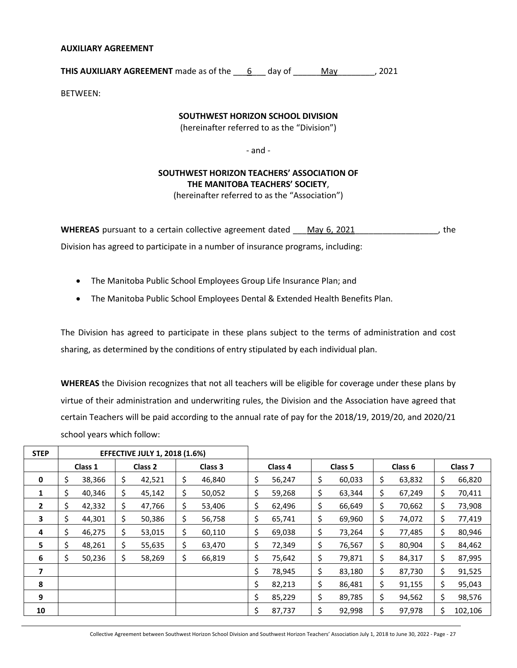#### <span id="page-26-0"></span>**AUXILIARY AGREEMENT**

**THIS AUXILIARY AGREEMENT** made as of the \_\_\_6\_\_\_ day of \_\_\_\_\_\_May\_\_\_\_\_\_\_\_, 2021

BETWEEN:

# **SOUTHWEST HORIZON SCHOOL DIVISION**

(hereinafter referred to as the "Division")

- and -

# **SOUTHWEST HORIZON TEACHERS' ASSOCIATION OF THE MANITOBA TEACHERS' SOCIETY**,

(hereinafter referred to as the "Association")

**WHEREAS** pursuant to a certain collective agreement dated \_\_\_May 6, 2021\_\_\_\_\_\_\_\_\_\_\_\_\_\_\_\_\_\_, the Division has agreed to participate in a number of insurance programs, including:

- The Manitoba Public School Employees Group Life Insurance Plan; and
- The Manitoba Public School Employees Dental & Extended Health Benefits Plan.

The Division has agreed to participate in these plans subject to the terms of administration and cost sharing, as determined by the conditions of entry stipulated by each individual plan.

**WHEREAS** the Division recognizes that not all teachers will be eligible for coverage under these plans by virtue of their administration and underwriting rules, the Division and the Association have agreed that certain Teachers will be paid according to the annual rate of pay for the 2018/19, 2019/20, and 2020/21 school years which follow:

| <b>STEP</b> |    | <b>EFFECTIVE JULY 1, 2018 (1.6%)</b> |    |         |     |         |                               |        |    |        |              |     |         |  |                    |
|-------------|----|--------------------------------------|----|---------|-----|---------|-------------------------------|--------|----|--------|--------------|-----|---------|--|--------------------|
|             |    | Class 1                              |    | Class 2 |     | Class 3 | Class 5<br>Class 6<br>Class 4 |        |    |        |              |     |         |  | Class <sub>7</sub> |
| 0           | \$ | 38,366                               | \$ | 42,521  | \$. | 46,840  | \$                            | 56,247 | \$ | 60,033 | \$<br>63,832 | \$  | 66,820  |  |                    |
| 1           | \$ | 40,346                               | \$ | 45,142  | \$  | 50,052  |                               | 59,268 | \$ | 63,344 | \$<br>67,249 | \$  | 70,411  |  |                    |
| 2           | \$ | 42,332                               | \$ | 47,766  | \$  | 53,406  | \$                            | 62,496 | \$ | 66,649 | \$<br>70,662 | \$. | 73,908  |  |                    |
| 3           | \$ | 44,301                               | \$ | 50,386  | \$  | 56,758  | \$                            | 65,741 | \$ | 69,960 | \$<br>74,072 | \$. | 77,419  |  |                    |
| 4           | \$ | 46,275                               | \$ | 53,015  | \$  | 60,110  | \$                            | 69,038 | \$ | 73,264 | \$<br>77,485 | \$  | 80,946  |  |                    |
| 5           | \$ | 48,261                               | \$ | 55,635  | \$  | 63,470  | \$                            | 72,349 | \$ | 76,567 | \$<br>80,904 | \$  | 84,462  |  |                    |
| 6           | Š. | 50,236                               | Ś  | 58,269  | \$  | 66,819  |                               | 75,642 | \$ | 79,871 | \$<br>84,317 | \$  | 87,995  |  |                    |
| 7           |    |                                      |    |         |     |         | \$                            | 78,945 | \$ | 83,180 | \$<br>87,730 | Ś.  | 91,525  |  |                    |
| 8           |    |                                      |    |         |     |         | Ś                             | 82,213 | \$ | 86,481 | \$<br>91,155 | Ś.  | 95,043  |  |                    |
| 9           |    |                                      |    |         |     |         | Ś.                            | 85,229 | \$ | 89,785 | \$<br>94,562 | Ś.  | 98,576  |  |                    |
| 10          |    |                                      |    |         |     |         | \$                            | 87,737 | \$ | 92,998 | 97,978       | Ś.  | 102,106 |  |                    |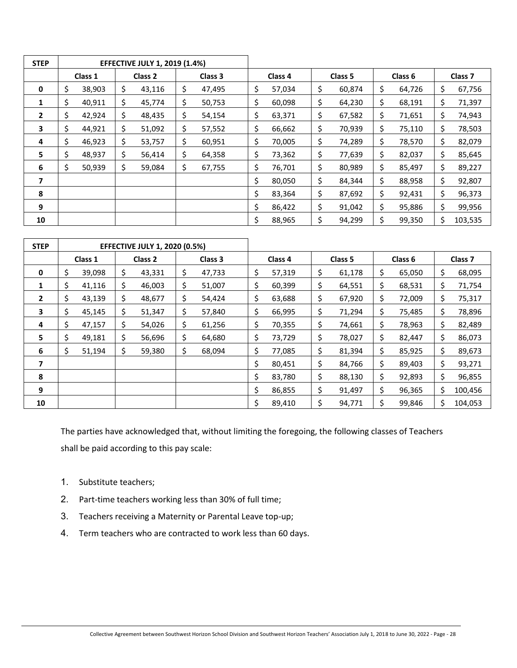| <b>STEP</b>    |    | <b>EFFECTIVE JULY 1, 2019 (1.4%)</b> |                    |        |    |         |    |                    |    |        |    |                    |     |                    |
|----------------|----|--------------------------------------|--------------------|--------|----|---------|----|--------------------|----|--------|----|--------------------|-----|--------------------|
|                |    | Class 1                              | Class <sub>2</sub> |        |    | Class 3 |    | Class 4<br>Class 5 |    |        |    | Class <sub>6</sub> |     | Class <sub>7</sub> |
| 0              | \$ | 38,903                               | \$                 | 43,116 | \$ | 47,495  | \$ | 57,034             | \$ | 60,874 | \$ | 64,726             | \$  | 67,756             |
| 1              | \$ | 40,911                               | \$                 | 45,774 | \$ | 50,753  | \$ | 60,098             | \$ | 64,230 | \$ | 68,191             | \$. | 71,397             |
| $\overline{2}$ | \$ | 42,924                               | \$                 | 48,435 | \$ | 54,154  | \$ | 63,371             | \$ | 67,582 | \$ | 71,651             | \$  | 74,943             |
| 3              | \$ | 44,921                               | \$                 | 51,092 | \$ | 57,552  | \$ | 66,662             | \$ | 70,939 | S  | 75,110             | \$  | 78,503             |
| 4              | S  | 46,923                               | \$                 | 53,757 | Ś. | 60,951  | \$ | 70,005             | \$ | 74,289 | Ş  | 78,570             | Ś   | 82,079             |
| 5              | \$ | 48,937                               | \$                 | 56,414 | \$ | 64,358  | \$ | 73,362             | \$ | 77,639 | \$ | 82,037             | \$. | 85,645             |
| 6              | \$ | 50,939                               | \$                 | 59,084 | \$ | 67,755  | \$ | 76,701             | \$ | 80,989 | \$ | 85,497             | \$  | 89,227             |
|                |    |                                      |                    |        |    |         | Ś. | 80,050             | \$ | 84,344 | Ś  | 88,958             | \$  | 92,807             |
| 8              |    |                                      |                    |        |    |         | \$ | 83,364             | \$ | 87,692 | \$ | 92,431             | \$. | 96,373             |
| 9              |    |                                      |                    |        |    |         | \$ | 86,422             | \$ | 91,042 | \$ | 95,886             | \$. | 99,956             |
| 10             |    |                                      |                    |        |    |         | \$ | 88,965             | \$ | 94,299 |    | 99,350             | \$  | 103,535            |

| <b>STEP</b>    | <b>EFFECTIVE JULY 1, 2020 (0.5%)</b> |        |                    |        |         |        |                    |        |         |        |                    |        |                    |         |
|----------------|--------------------------------------|--------|--------------------|--------|---------|--------|--------------------|--------|---------|--------|--------------------|--------|--------------------|---------|
|                | Class 1                              |        | Class <sub>2</sub> |        | Class 3 |        | Class <sub>4</sub> |        | Class 5 |        | Class <sub>6</sub> |        | Class <sub>7</sub> |         |
| 0              | \$                                   | 39,098 | \$                 | 43,331 | \$      | 47,733 | \$                 | 57,319 | \$      | 61,178 | \$                 | 65,050 | \$                 | 68,095  |
| 1              | \$                                   | 41,116 | \$                 | 46,003 | \$      | 51,007 | \$                 | 60,399 | \$      | 64,551 | \$                 | 68,531 | \$                 | 71,754  |
| $\overline{2}$ | Ś                                    | 43,139 | \$                 | 48,677 | \$      | 54,424 | \$                 | 63,688 | \$      | 67,920 | \$                 | 72,009 | \$                 | 75,317  |
| 3              | \$                                   | 45,145 | \$                 | 51,347 | \$      | 57,840 | \$                 | 66,995 | \$      | 71,294 | \$                 | 75,485 | \$                 | 78,896  |
| 4              | \$                                   | 47,157 | \$                 | 54,026 | \$      | 61,256 | \$                 | 70,355 | \$      | 74,661 | \$                 | 78,963 | Ś.                 | 82,489  |
| 5.             | \$                                   | 49,181 | \$                 | 56,696 | \$      | 64,680 | \$                 | 73,729 | \$      | 78,027 | \$                 | 82,447 | \$                 | 86,073  |
| 6              | Ś.                                   | 51,194 | \$                 | 59,380 | \$      | 68,094 | \$                 | 77,085 | \$      | 81,394 | \$                 | 85,925 | \$                 | 89,673  |
| 7              |                                      |        |                    |        |         |        | \$                 | 80,451 | \$      | 84,766 | \$                 | 89,403 | \$                 | 93,271  |
| 8              |                                      |        |                    |        |         |        | \$                 | 83,780 | \$      | 88,130 | Ś                  | 92,893 | Ś.                 | 96,855  |
| 9              |                                      |        |                    |        |         |        | \$                 | 86,855 | \$      | 91,497 | \$                 | 96,365 | Ś                  | 100,456 |
| 10             |                                      |        |                    |        |         |        | Ś                  | 89,410 |         | 94,771 |                    | 99,846 |                    | 104,053 |

The parties have acknowledged that, without limiting the foregoing, the following classes of Teachers shall be paid according to this pay scale:

- 1. Substitute teachers;
- 2. Part-time teachers working less than 30% of full time;
- 3. Teachers receiving a Maternity or Parental Leave top-up;
- 4. Term teachers who are contracted to work less than 60 days.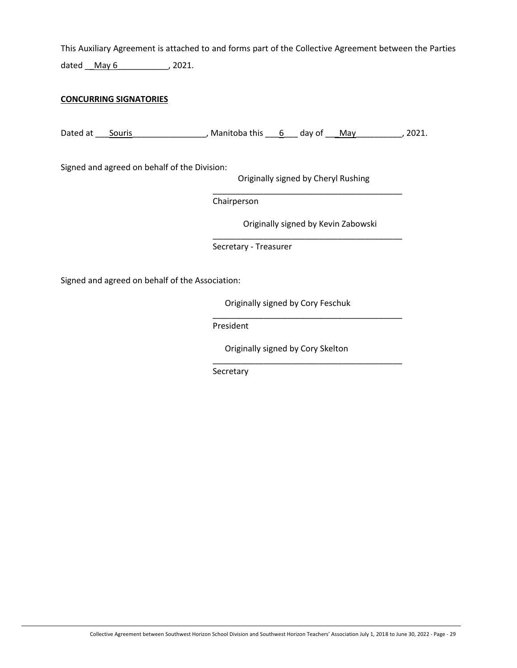This Auxiliary Agreement is attached to and forms part of the Collective Agreement between the Parties dated  $\frac{May 6}{May 6}$ , 2021.

# **CONCURRING SIGNATORIES**

Dated at  $_$  Souris  $_$  Manitoba this  $_6$  day of  $_$ May $_$   $_$  2021.

Signed and agreed on behalf of the Division:

Originally signed by Cheryl Rushing \_\_\_\_\_\_\_\_\_\_\_\_\_\_\_\_\_\_\_\_\_\_\_\_\_\_\_\_\_\_\_\_\_\_\_\_\_\_\_\_\_

Chairperson

Originally signed by Kevin Zabowski \_\_\_\_\_\_\_\_\_\_\_\_\_\_\_\_\_\_\_\_\_\_\_\_\_\_\_\_\_\_\_\_\_\_\_\_\_\_\_\_\_

Secretary - Treasurer

Signed and agreed on behalf of the Association:

Originally signed by Cory Feschuk

\_\_\_\_\_\_\_\_\_\_\_\_\_\_\_\_\_\_\_\_\_\_\_\_\_\_\_\_\_\_\_\_\_\_\_\_\_\_\_\_\_

\_\_\_\_\_\_\_\_\_\_\_\_\_\_\_\_\_\_\_\_\_\_\_\_\_\_\_\_\_\_\_\_\_\_\_\_\_\_\_\_\_

President

Originally signed by Cory Skelton

Secretary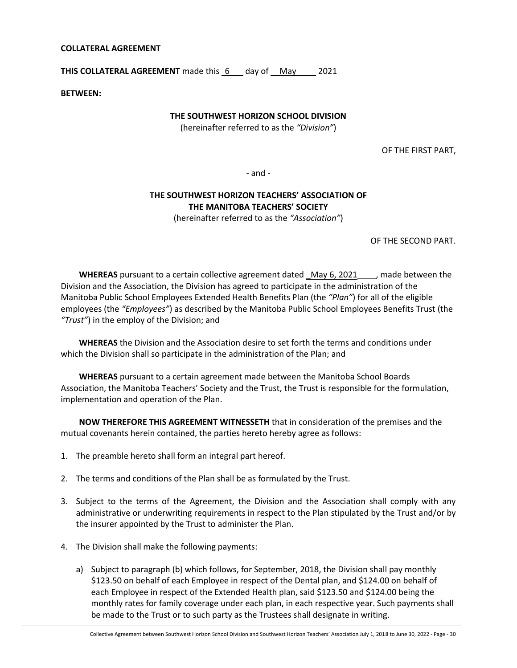#### <span id="page-29-0"></span>**COLLATERAL AGREEMENT**

**THIS COLLATERAL AGREEMENT** made this 6 day of May 2021

**BETWEEN:**

# **THE SOUTHWEST HORIZON SCHOOL DIVISION**

(hereinafter referred to as the *"Division"*)

OF THE FIRST PART,

- and -

# **THE SOUTHWEST HORIZON TEACHERS' ASSOCIATION OF THE MANITOBA TEACHERS' SOCIETY**

(hereinafter referred to as the *"Association"*)

OF THE SECOND PART.

**WHEREAS** pursuant to a certain collective agreement dated May 6, 2021 , made between the Division and the Association, the Division has agreed to participate in the administration of the Manitoba Public School Employees Extended Health Benefits Plan (the *"Plan"*) for all of the eligible employees (the *"Employees"*) as described by the Manitoba Public School Employees Benefits Trust (the *"Trust"*) in the employ of the Division; and

**WHEREAS** the Division and the Association desire to set forth the terms and conditions under which the Division shall so participate in the administration of the Plan; and

**WHEREAS** pursuant to a certain agreement made between the Manitoba School Boards Association, the Manitoba Teachers' Society and the Trust, the Trust is responsible for the formulation, implementation and operation of the Plan.

**NOW THEREFORE THIS AGREEMENT WITNESSETH** that in consideration of the premises and the mutual covenants herein contained, the parties hereto hereby agree as follows:

- 1. The preamble hereto shall form an integral part hereof.
- 2. The terms and conditions of the Plan shall be as formulated by the Trust.
- 3. Subject to the terms of the Agreement, the Division and the Association shall comply with any administrative or underwriting requirements in respect to the Plan stipulated by the Trust and/or by the insurer appointed by the Trust to administer the Plan.
- 4. The Division shall make the following payments:
	- a) Subject to paragraph (b) which follows, for September, 2018, the Division shall pay monthly \$123.50 on behalf of each Employee in respect of the Dental plan, and \$124.00 on behalf of each Employee in respect of the Extended Health plan, said \$123.50 and \$124.00 being the monthly rates for family coverage under each plan, in each respective year. Such payments shall be made to the Trust or to such party as the Trustees shall designate in writing.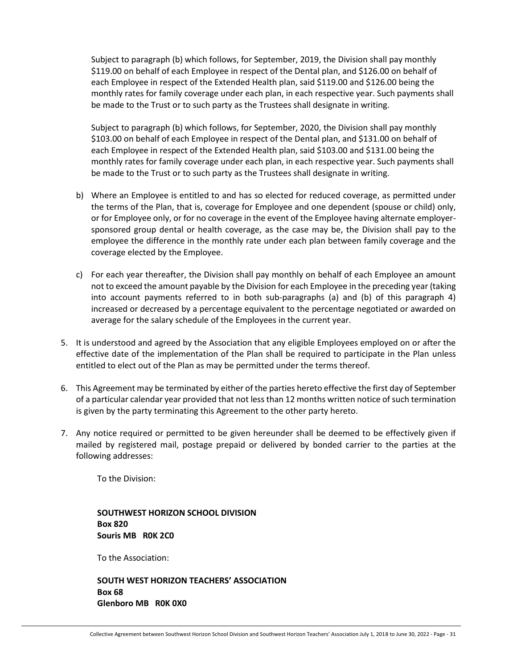Subject to paragraph (b) which follows, for September, 2019, the Division shall pay monthly \$119.00 on behalf of each Employee in respect of the Dental plan, and \$126.00 on behalf of each Employee in respect of the Extended Health plan, said \$119.00 and \$126.00 being the monthly rates for family coverage under each plan, in each respective year. Such payments shall be made to the Trust or to such party as the Trustees shall designate in writing.

Subject to paragraph (b) which follows, for September, 2020, the Division shall pay monthly \$103.00 on behalf of each Employee in respect of the Dental plan, and \$131.00 on behalf of each Employee in respect of the Extended Health plan, said \$103.00 and \$131.00 being the monthly rates for family coverage under each plan, in each respective year. Such payments shall be made to the Trust or to such party as the Trustees shall designate in writing.

- b) Where an Employee is entitled to and has so elected for reduced coverage, as permitted under the terms of the Plan, that is, coverage for Employee and one dependent (spouse or child) only, or for Employee only, or for no coverage in the event of the Employee having alternate employersponsored group dental or health coverage, as the case may be, the Division shall pay to the employee the difference in the monthly rate under each plan between family coverage and the coverage elected by the Employee.
- c) For each year thereafter, the Division shall pay monthly on behalf of each Employee an amount not to exceed the amount payable by the Division for each Employee in the preceding year (taking into account payments referred to in both sub-paragraphs (a) and (b) of this paragraph 4) increased or decreased by a percentage equivalent to the percentage negotiated or awarded on average for the salary schedule of the Employees in the current year.
- 5. It is understood and agreed by the Association that any eligible Employees employed on or after the effective date of the implementation of the Plan shall be required to participate in the Plan unless entitled to elect out of the Plan as may be permitted under the terms thereof.
- 6. This Agreement may be terminated by either of the parties hereto effective the first day of September of a particular calendar year provided that not less than 12 months written notice of such termination is given by the party terminating this Agreement to the other party hereto.
- 7. Any notice required or permitted to be given hereunder shall be deemed to be effectively given if mailed by registered mail, postage prepaid or delivered by bonded carrier to the parties at the following addresses:

To the Division:

**SOUTHWEST HORIZON SCHOOL DIVISION Box 820 Souris MB R0K 2C0**

To the Association:

**SOUTH WEST HORIZON TEACHERS' ASSOCIATION Box 68 Glenboro MB R0K 0X0**